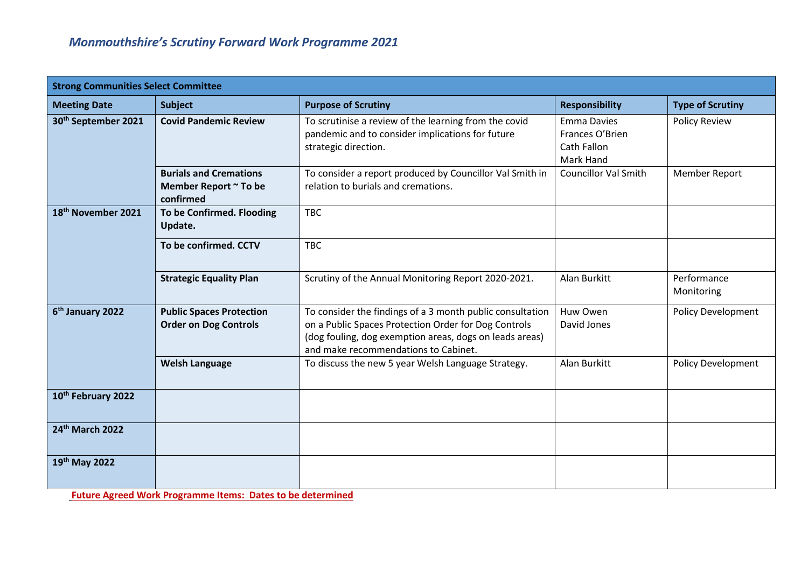| <b>Strong Communities Select Committee</b> |                                                                     |                                                                                                                                                                                                                      |                                                                   |                           |
|--------------------------------------------|---------------------------------------------------------------------|----------------------------------------------------------------------------------------------------------------------------------------------------------------------------------------------------------------------|-------------------------------------------------------------------|---------------------------|
| <b>Meeting Date</b>                        | <b>Subject</b>                                                      | <b>Purpose of Scrutiny</b>                                                                                                                                                                                           | <b>Responsibility</b>                                             | <b>Type of Scrutiny</b>   |
| 30 <sup>th</sup> September 2021            | <b>Covid Pandemic Review</b>                                        | To scrutinise a review of the learning from the covid<br>pandemic and to consider implications for future<br>strategic direction.                                                                                    | <b>Emma Davies</b><br>Frances O'Brien<br>Cath Fallon<br>Mark Hand | <b>Policy Review</b>      |
|                                            | <b>Burials and Cremations</b><br>Member Report ~ To be<br>confirmed | To consider a report produced by Councillor Val Smith in<br>relation to burials and cremations.                                                                                                                      | <b>Councillor Val Smith</b>                                       | <b>Member Report</b>      |
| 18 <sup>th</sup> November 2021             | To be Confirmed. Flooding<br>Update.                                | <b>TBC</b>                                                                                                                                                                                                           |                                                                   |                           |
|                                            | To be confirmed. CCTV                                               | <b>TBC</b>                                                                                                                                                                                                           |                                                                   |                           |
|                                            | <b>Strategic Equality Plan</b>                                      | Scrutiny of the Annual Monitoring Report 2020-2021.                                                                                                                                                                  | Alan Burkitt                                                      | Performance<br>Monitoring |
| 6 <sup>th</sup> January 2022               | <b>Public Spaces Protection</b><br><b>Order on Dog Controls</b>     | To consider the findings of a 3 month public consultation<br>on a Public Spaces Protection Order for Dog Controls<br>(dog fouling, dog exemption areas, dogs on leads areas)<br>and make recommendations to Cabinet. | Huw Owen<br>David Jones                                           | <b>Policy Development</b> |
|                                            | <b>Welsh Language</b>                                               | To discuss the new 5 year Welsh Language Strategy.                                                                                                                                                                   | Alan Burkitt                                                      | <b>Policy Development</b> |
| 10th February 2022                         |                                                                     |                                                                                                                                                                                                                      |                                                                   |                           |
| 24th March 2022                            |                                                                     |                                                                                                                                                                                                                      |                                                                   |                           |
| 19th May 2022                              |                                                                     |                                                                                                                                                                                                                      |                                                                   |                           |

**Future Agreed Work Programme Items: Dates to be determined**